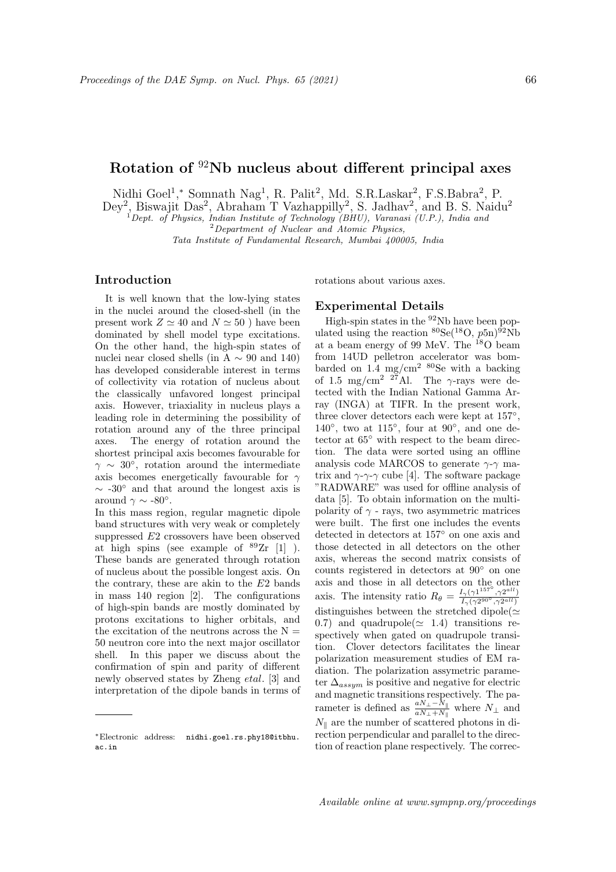## Rotation of <sup>92</sup>Nb nucleus about different principal axes

Nidhi Goel<sup>1</sup>,\* Somnath Nag<sup>1</sup>, R. Palit<sup>2</sup>, Md. S.R.Laskar<sup>2</sup>, F.S.Babra<sup>2</sup>, P.

Dey<sup>2</sup>, Biswajit Das<sup>2</sup>, Abraham T Vazhappilly<sup>2</sup>, S. Jadhav<sup>2</sup>, and B. S. Naidu<sup>2</sup>

 $1$ Dept. of Physics, Indian Institute of Technology (BHU), Varanasi (U.P.), India and

<sup>2</sup>Department of Nuclear and Atomic Physics,

Tata Institute of Fundamental Research, Mumbai 400005, India

## Introduction

It is well known that the low-lying states in the nuclei around the closed-shell (in the present work  $Z \simeq 40$  and  $N \simeq 50$  ) have been dominated by shell model type excitations. On the other hand, the high-spin states of nuclei near closed shells (in A  $\sim$  90 and 140) has developed considerable interest in terms of collectivity via rotation of nucleus about the classically unfavored longest principal axis. However, triaxiality in nucleus plays a leading role in determining the possibility of rotation around any of the three principal axes. The energy of rotation around the shortest principal axis becomes favourable for  $\gamma \sim 30^{\circ}$ , rotation around the intermediate axis becomes energetically favourable for  $\gamma$  $\sim$  -30° and that around the longest axis is around  $\gamma \sim -80^{\circ}$ .

In this mass region, regular magnetic dipole band structures with very weak or completely suppressed E2 crossovers have been observed at high spins (see example of  $89Zr$  [1]). These bands are generated through rotation of nucleus about the possible longest axis. On the contrary, these are akin to the  $E2$  bands in mass 140 region [2]. The configurations of high-spin bands are mostly dominated by protons excitations to higher orbitals, and the excitation of the neutrons across the  $N =$ 50 neutron core into the next major oscillator shell. In this paper we discuss about the confirmation of spin and parity of different newly observed states by Zheng etal. [3] and interpretation of the dipole bands in terms of rotations about various axes.

## Experimental Details

High-spin states in the  $92Nb$  have been populated using the reaction  ${}^{80}\text{Se}({}^{18}\text{O}, p5n){}^{\hat{9}2}\text{Nb}$ at a beam energy of 99 MeV. The <sup>18</sup>O beam from 14UD pelletron accelerator was bombarded on  $1.4 \text{ mg/cm}^2$   ${}^{80}\text{Se}$  with a backing of 1.5 mg/cm<sup>2</sup> <sup>27</sup>Al. The  $\gamma$ -rays were detected with the Indian National Gamma Array (INGA) at TIFR. In the present work, three clover detectors each were kept at 157◦ , 140 $\degree$ , two at 115 $\degree$ , four at 90 $\degree$ , and one detector at  $65^{\circ}$  with respect to the beam direction. The data were sorted using an offline analysis code MARCOS to generate  $\gamma$ - $\gamma$  matrix and  $\gamma$ - $\gamma$ - $\gamma$  cube [4]. The software package "RADWARE" was used for offline analysis of data [5]. To obtain information on the multipolarity of  $\gamma$  - rays, two asymmetric matrices were built. The first one includes the events detected in detectors at 157◦ on one axis and those detected in all detectors on the other axis, whereas the second matrix consists of counts registered in detectors at 90◦ on one axis and those in all detectors on the other axis. The intensity ratio  $R_{\theta} = \frac{I_{\gamma}(\gamma1^{157^{\circ}}, \gamma2^{all})}{I_{\gamma}(\gamma2^{90^{\circ}}, \gamma2^{all})}$  $I_{\gamma}(\gamma 2^{90^{\circ}}, \gamma 2^{all})$ distinguishes between the stretched dipole $(\simeq$ 0.7) and quadrupole( $\simeq$  1.4) transitions respectively when gated on quadrupole transition. Clover detectors facilitates the linear polarization measurement studies of EM radiation. The polarization assymetric parameter  $\Delta_{assym}$  is positive and negative for electric and magnetic transitions respectively. The parameter is defined as  $\frac{aN_{\perp}-N_{\parallel}}{aN_{\perp}+N_{\parallel}}$  where  $N_{\perp}$  and  $N_{\parallel}$  are the number of scattered photons in direction perpendicular and parallel to the direction of reaction plane respectively. The correc-

<sup>∗</sup>Electronic address: nidhi.goel.rs.phy18@itbhu. ac.in